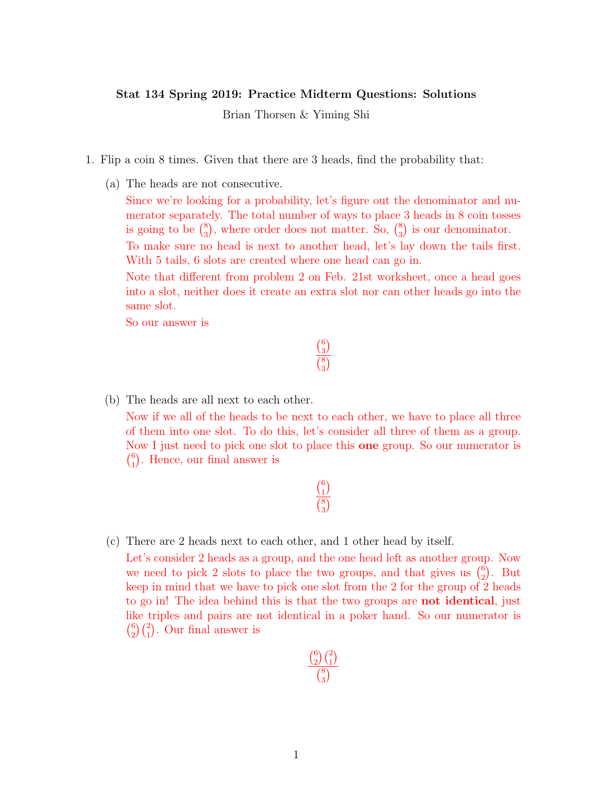## Stat 134 Spring 2019: Practice Midterm Questions: Solutions

Brian Thorsen & Yiming Shi

- 1. Flip a coin 8 times. Given that there are 3 heads, find the probability that:
	- (a) The heads are not consecutive.

Since we're looking for a probability, let's figure out the denominator and numerator separately. The total number of ways to place 3 heads in 8 coin tosses is going to be  $\binom{8}{3}$  $_3^8$ , where order does not matter. So,  $\binom{8}{3}$  $_{3}^{8}$ ) is our denominator. To make sure no head is next to another head, let's lay down the tails first. With 5 tails, 6 slots are created where one head can go in.

Note that different from problem 2 on Feb. 21st worksheet, once a head goes into a slot, neither does it create an extra slot nor can other heads go into the same slot.

> $\binom{6}{2}$  $\binom{6}{3}$  $\binom{8}{2}$  $\binom{8}{3}$

So our answer is

## (b) The heads are all next to each other.

Now if we all of the heads to be next to each other, we have to place all three of them into one slot. To do this, let's consider all three of them as a group. Now I just need to pick one slot to place this one group. So our numerator is  $\binom{6}{1}$  $_{1}^{6}$ ). Hence, our final answer is

## $\binom{6}{1}$  $\binom{6}{1}$  $\binom{8}{2}$  $\binom{8}{3}$

## (c) There are 2 heads next to each other, and 1 other head by itself.

Let's consider 2 heads as a group, and the one head left as another group. Now we need to pick 2 slots to place the two groups, and that gives us  $\binom{6}{2}$  $_{2}^{6}$ ). But keep in mind that we have to pick one slot from the 2 for the group of 2 heads to go in! The idea behind this is that the two groups are not identical, just like triples and pairs are not identical in a poker hand. So our numerator is  $\binom{6}{2}$  $_{2}^{6})\binom{2}{1}$ . Our final answer is

$$
\frac{\binom{6}{2}\binom{2}{1}}{\binom{8}{3}}
$$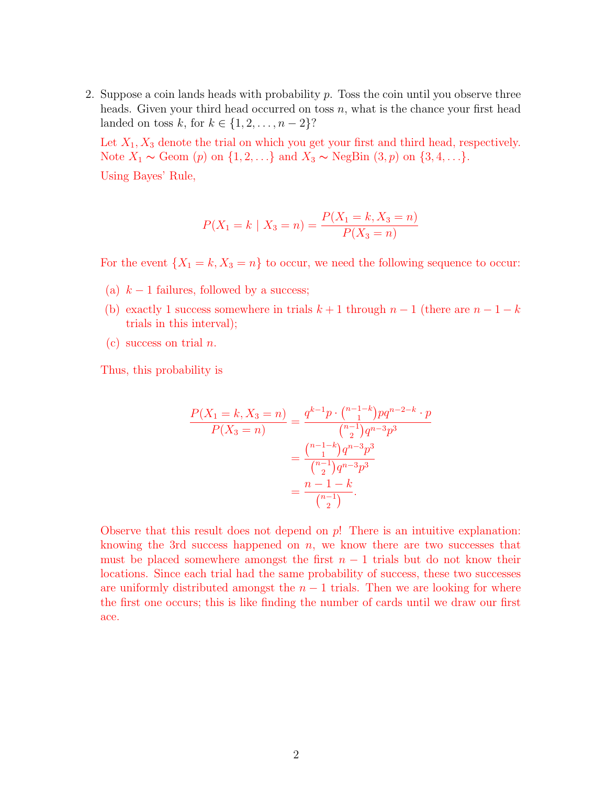2. Suppose a coin lands heads with probability  $p$ . Toss the coin until you observe three heads. Given your third head occurred on toss  $n$ , what is the chance your first head landed on toss k, for  $k \in \{1, 2, ..., n-2\}$ ?

Let  $X_1, X_3$  denote the trial on which you get your first and third head, respectively. Note  $X_1$  ∼ Geom (p) on  $\{1, 2, ...\}$  and  $X_3$  ∼ NegBin  $(3, p)$  on  $\{3, 4, ...\}$ .

Using Bayes' Rule,

$$
P(X_1 = k \mid X_3 = n) = \frac{P(X_1 = k, X_3 = n)}{P(X_3 = n)}
$$

For the event  $\{X_1 = k, X_3 = n\}$  to occur, we need the following sequence to occur:

- (a)  $k-1$  failures, followed by a success;
- (b) exactly 1 success somewhere in trials  $k + 1$  through  $n 1$  (there are  $n 1 k$ trials in this interval);
- (c) success on trial  $n$ .

Thus, this probability is

$$
\frac{P(X_1 = k, X_3 = n)}{P(X_3 = n)} = \frac{q^{k-1}p \cdot \binom{n-1-k}{1}pq^{n-2-k} \cdot p}{\binom{n-1}{2}q^{n-3}p^3}
$$

$$
= \frac{\binom{n-1-k}{1}q^{n-3}p^3}{\binom{n-1}{2}q^{n-3}p^3}
$$

$$
= \frac{n-1-k}{\binom{n-1}{2}}.
$$

Observe that this result does not depend on  $p!$ . There is an intuitive explanation: knowing the 3rd success happened on  $n$ , we know there are two successes that must be placed somewhere amongst the first  $n - 1$  trials but do not know their locations. Since each trial had the same probability of success, these two successes are uniformly distributed amongst the  $n - 1$  trials. Then we are looking for where the first one occurs; this is like finding the number of cards until we draw our first ace.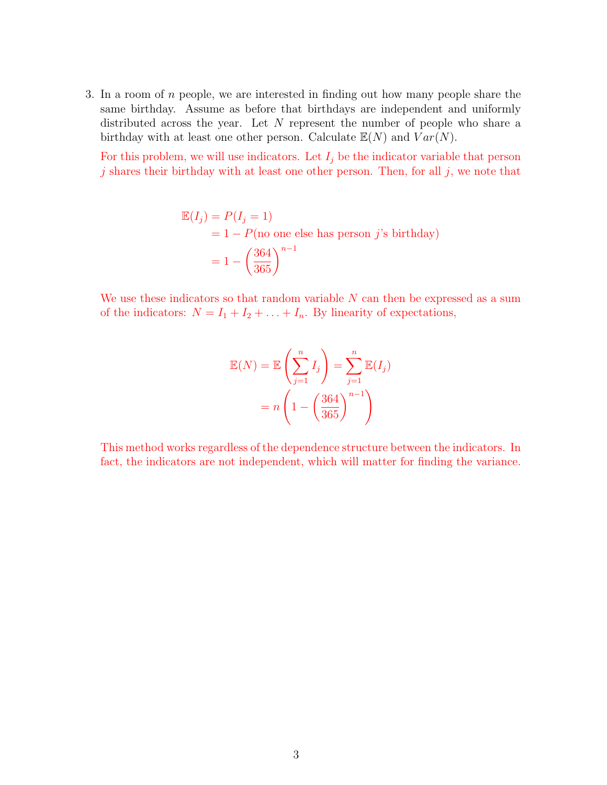3. In a room of n people, we are interested in finding out how many people share the same birthday. Assume as before that birthdays are independent and uniformly distributed across the year. Let  $N$  represent the number of people who share a birthday with at least one other person. Calculate  $\mathbb{E}(N)$  and  $Var(N)$ .

For this problem, we will use indicators. Let  $I_j$  be the indicator variable that person  $j$  shares their birthday with at least one other person. Then, for all  $j$ , we note that

$$
\mathbb{E}(I_j) = P(I_j = 1)
$$
  
= 1 - P(no one else has person *j*'s birthday)  
= 1 -  $\left(\frac{364}{365}\right)^{n-1}$ 

We use these indicators so that random variable  $N$  can then be expressed as a sum of the indicators:  $N = I_1 + I_2 + \ldots + I_n$ . By linearity of expectations,

$$
\mathbb{E}(N) = \mathbb{E}\left(\sum_{j=1}^{n} I_j\right) = \sum_{j=1}^{n} \mathbb{E}(I_j)
$$

$$
= n \left(1 - \left(\frac{364}{365}\right)^{n-1}\right)
$$

This method works regardless of the dependence structure between the indicators. In fact, the indicators are not independent, which will matter for finding the variance.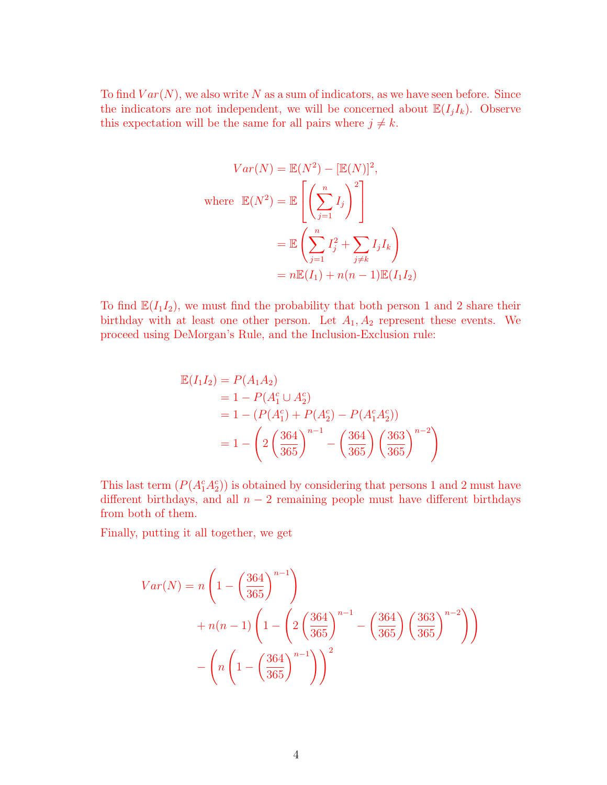To find  $Var(N)$ , we also write N as a sum of indicators, as we have seen before. Since the indicators are not independent, we will be concerned about  $\mathbb{E}(I_jI_k)$ . Observe this expectation will be the same for all pairs where  $j \neq k$ .

$$
Var(N) = \mathbb{E}(N^2) - [\mathbb{E}(N)]^2,
$$
  
where  $\mathbb{E}(N^2) = \mathbb{E}\left[\left(\sum_{j=1}^n I_j\right)^2\right]$   

$$
= \mathbb{E}\left(\sum_{j=1}^n I_j^2 + \sum_{j \neq k} I_j I_k\right)
$$
  

$$
= n \mathbb{E}(I_1) + n(n-1) \mathbb{E}(I_1 I_2)
$$

To find  $\mathbb{E}(I_1I_2)$ , we must find the probability that both person 1 and 2 share their birthday with at least one other person. Let  $A_1, A_2$  represent these events. We proceed using DeMorgan's Rule, and the Inclusion-Exclusion rule:

$$
\mathbb{E}(I_1 I_2) = P(A_1 A_2)
$$
  
= 1 - P(A\_1^c \cup A\_2^c)  
= 1 - (P(A\_1^c) + P(A\_2^c) - P(A\_1^c A\_2^c))  
= 1 - \left(2\left(\frac{364}{365}\right)^{n-1} - \left(\frac{364}{365}\right)\left(\frac{363}{365}\right)^{n-2}\right)

This last term  $(P(A_1^c A_2^c))$  is obtained by considering that persons 1 and 2 must have different birthdays, and all  $n-2$  remaining people must have different birthdays from both of them.

Finally, putting it all together, we get

$$
Var(N) = n \left( 1 - \left( \frac{364}{365} \right)^{n-1} \right)
$$
  
+  $n(n-1) \left( 1 - \left( 2 \left( \frac{364}{365} \right)^{n-1} - \left( \frac{364}{365} \right) \left( \frac{363}{365} \right)^{n-2} \right) \right)$   
-  $\left( n \left( 1 - \left( \frac{364}{365} \right)^{n-1} \right) \right)^2$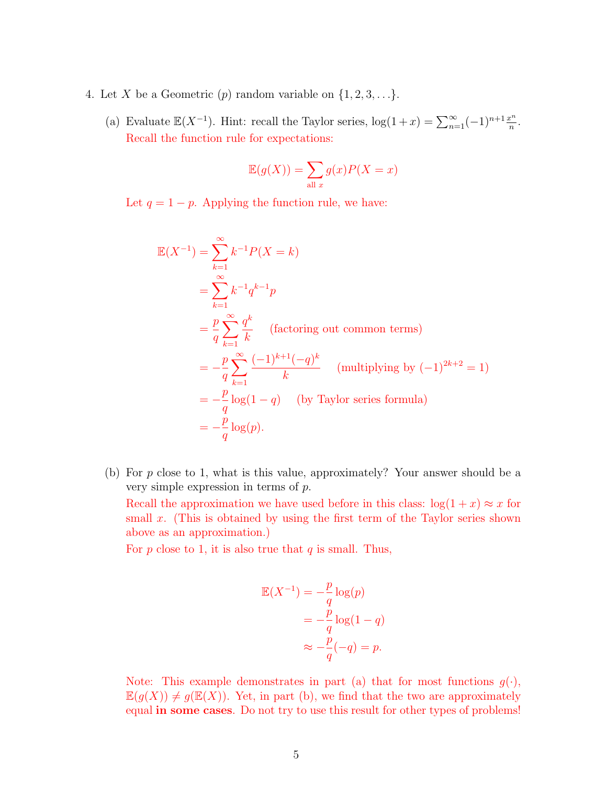- 4. Let X be a Geometric  $(p)$  random variable on  $\{1, 2, 3, \ldots\}$ .
	- (a) Evaluate  $\mathbb{E}(X^{-1})$ . Hint: recall the Taylor series,  $\log(1+x) = \sum_{n=1}^{\infty} (-1)^{n+1} \frac{x^n}{n}$  $\frac{c^n}{n}$  . Recall the function rule for expectations:

$$
\mathbb{E}(g(X)) = \sum_{\text{all } x} g(x)P(X = x)
$$

Let  $q = 1 - p$ . Applying the function rule, we have:

$$
\mathbb{E}(X^{-1}) = \sum_{k=1}^{\infty} k^{-1} P(X = k)
$$
  
= 
$$
\sum_{k=1}^{\infty} k^{-1} q^{k-1} p
$$
  
= 
$$
\frac{p}{q} \sum_{k=1}^{\infty} \frac{q^k}{k}
$$
 (factoring out common terms)  
= 
$$
-\frac{p}{q} \sum_{k=1}^{\infty} \frac{(-1)^{k+1}(-q)^k}{k}
$$
 (multiplying by  $(-1)^{2k+2} = 1$ )  
= 
$$
-\frac{p}{q} \log(1-q)
$$
 (by Taylor series formula)  
= 
$$
-\frac{p}{q} \log(p).
$$

(b) For p close to 1, what is this value, approximately? Your answer should be a very simple expression in terms of p.

Recall the approximation we have used before in this class:  $log(1 + x) \approx x$  for small  $x$ . (This is obtained by using the first term of the Taylor series shown above as an approximation.)

For  $p$  close to 1, it is also true that  $q$  is small. Thus,

$$
\mathbb{E}(X^{-1}) = -\frac{p}{q} \log(p)
$$

$$
= -\frac{p}{q} \log(1 - q)
$$

$$
\approx -\frac{p}{q}(-q) = p.
$$

Note: This example demonstrates in part (a) that for most functions  $g(\cdot)$ ,  $\mathbb{E}(g(X)) \neq g(\mathbb{E}(X))$ . Yet, in part (b), we find that the two are approximately equal in some cases. Do not try to use this result for other types of problems!